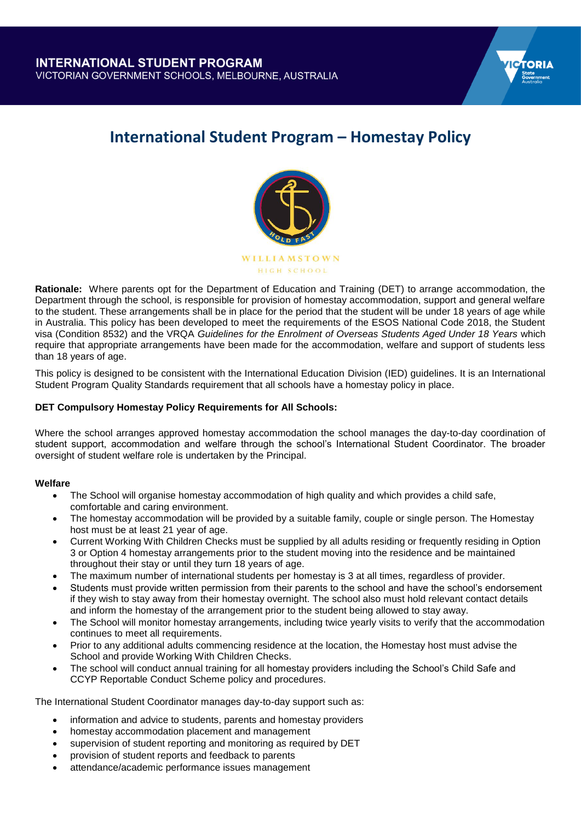

# **International Student Program – Homestay Policy**



**Rationale:** Where parents opt for the Department of Education and Training (DET) to arrange accommodation, the Department through the school, is responsible for provision of homestay accommodation, support and general welfare to the student. These arrangements shall be in place for the period that the student will be under 18 years of age while in Australia. This policy has been developed to meet the requirements of the ESOS National Code 2018, the Student visa (Condition 8532) and the VRQA *Guidelines for the Enrolment of Overseas Students Aged Under 18 Years* which require that appropriate arrangements have been made for the accommodation, welfare and support of students less than 18 years of age.

This policy is designed to be consistent with the International Education Division (IED) guidelines. It is an International Student Program Quality Standards requirement that all schools have a homestay policy in place.

# **DET Compulsory Homestay Policy Requirements for All Schools:**

Where the school arranges approved homestay accommodation the school manages the day-to-day coordination of student support, accommodation and welfare through the school's International Student Coordinator. The broader oversight of student welfare role is undertaken by the Principal.

# **Welfare**

- The School will organise homestay accommodation of high quality and which provides a child safe, comfortable and caring environment.
- The homestay accommodation will be provided by a suitable family, couple or single person. The Homestay host must be at least 21 year of age.
- Current Working With Children Checks must be supplied by all adults residing or frequently residing in Option 3 or Option 4 homestay arrangements prior to the student moving into the residence and be maintained throughout their stay or until they turn 18 years of age.
- The maximum number of international students per homestay is 3 at all times, regardless of provider.
- Students must provide written permission from their parents to the school and have the school's endorsement if they wish to stay away from their homestay overnight. The school also must hold relevant contact details and inform the homestay of the arrangement prior to the student being allowed to stay away.
- The School will monitor homestay arrangements, including twice yearly visits to verify that the accommodation continues to meet all requirements.
- Prior to any additional adults commencing residence at the location, the Homestay host must advise the School and provide Working With Children Checks.
- The school will conduct annual training for all homestay providers including the School's Child Safe and CCYP Reportable Conduct Scheme policy and procedures.

The International Student Coordinator manages day-to-day support such as:

- information and advice to students, parents and homestay providers
- homestay accommodation placement and management
- supervision of student reporting and monitoring as required by DET
- provision of student reports and feedback to parents
- attendance/academic performance issues management